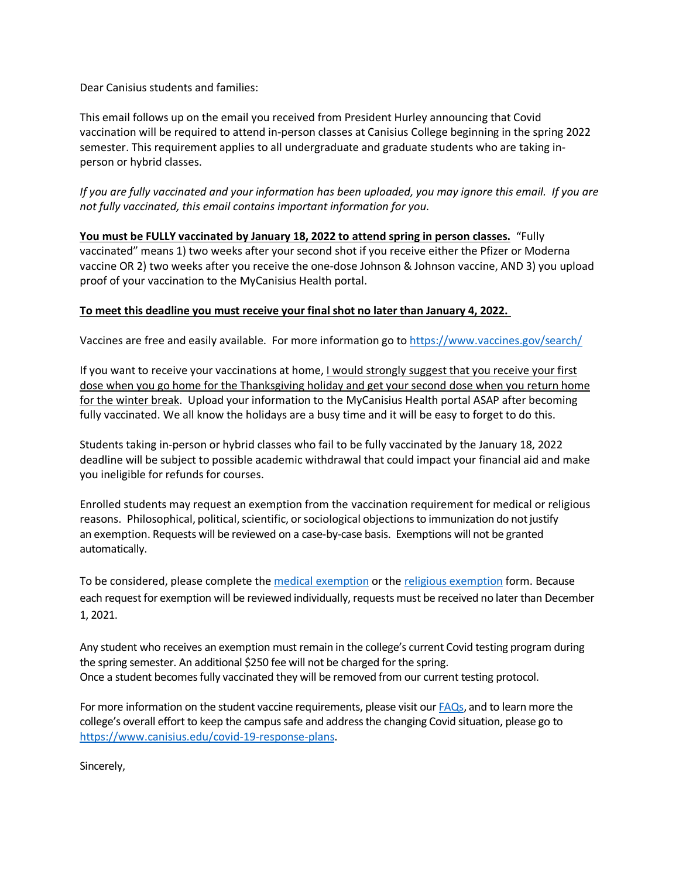Dear Canisius students and families:

This email follows up on the email you received from President Hurley announcing that Covid vaccination will be required to attend in-person classes at Canisius College beginning in the spring 2022 semester. This requirement applies to all undergraduate and graduate students who are taking inperson or hybrid classes.

*If you are fully vaccinated and your information has been uploaded, you may ignore this email. If you are not fully vaccinated, this email contains important information for you.*

**You must be FULLY vaccinated by January 18, 2022 to attend spring in person classes.** "Fully vaccinated" means 1) two weeks after your second shot if you receive either the Pfizer or Moderna vaccine OR 2) two weeks after you receive the one-dose Johnson & Johnson vaccine, AND 3) you upload proof of your vaccination to the MyCanisius Health portal.

## **To meet this deadline you must receive your final shot no later than January 4, 2022.**

Vaccines are free and easily available. For more information go to<https://www.vaccines.gov/search/>

If you want to receive your vaccinations at home, I would strongly suggest that you receive your first dose when you go home for the Thanksgiving holiday and get your second dose when you return home for the winter break. Upload your information to the MyCanisius Health portal ASAP after becoming fully vaccinated. We all know the holidays are a busy time and it will be easy to forget to do this.

Students taking in-person or hybrid classes who fail to be fully vaccinated by the January 18, 2022 deadline will be subject to possible academic withdrawal that could impact your financial aid and make you ineligible for refunds for courses.

Enrolled students may request an exemption from the vaccination requirement for medical or religious reasons. Philosophical, political, scientific, or sociological objections to immunization do not justify an exemption. Requests will be reviewed on a case-by-case basis. Exemptions will not be granted automatically.

To be considered, please complete the [medical exemption](https://www.canisius.edu/sites/default/files/%2A/medical_exemption_from_vaccine_mandate.pdf) or the [religious exemption](https://www.canisius.edu/sites/default/files/%2A/student_religious_exemption_form_can.pdf) form. Because each request for exemption will be reviewed individually, requests must be received no later than December 1, 2021.

Any student who receives an exemption must remain in the college's current Covid testing program during the spring semester. An additional \$250 fee will not be charged for the spring. Once a student becomes fully vaccinated they will be removed from our current testing protocol.

For more information on the student vaccine requirements, please visit our **FAQs**, and to learn more the college's overall effort to keep the campus safe and address the changing Covid situation, please go to [https://www.canisius.edu/covid-19-response-plans.](https://www.canisius.edu/covid-19-response-plans)

Sincerely,